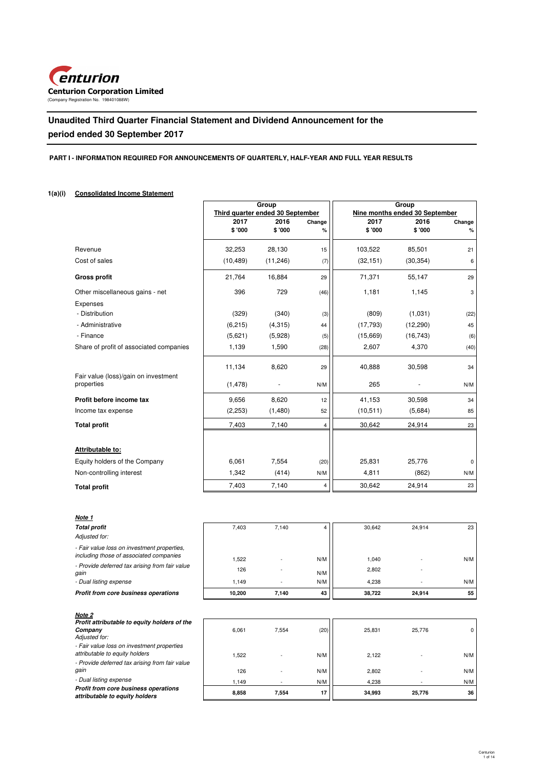

# **Unaudited Third Quarter Financial Statement and Dividend Announcement for the period ended 30 September 2017**

# **PART I - INFORMATION REQUIRED FOR ANNOUNCEMENTS OF QUARTERLY, HALF-YEAR AND FULL YEAR RESULTS**

# **1(a)(i) Consolidated Income Statement**

|                                                    |                                  | Group     |                | Group     |                                |          |  |
|----------------------------------------------------|----------------------------------|-----------|----------------|-----------|--------------------------------|----------|--|
|                                                    | Third quarter ended 30 September |           |                |           | Nine months ended 30 September |          |  |
|                                                    | 2017                             | 2016      | Change         | 2017      | 2016                           | Change   |  |
|                                                    | \$'000                           | \$ '000   | %              | \$'000    | \$ '000                        | %        |  |
| Revenue                                            | 32,253                           | 28,130    | 15             | 103,522   | 85,501                         | 21       |  |
| Cost of sales                                      | (10, 489)                        | (11, 246) | (7)            | (32, 151) | (30, 354)                      | 6        |  |
| <b>Gross profit</b>                                | 21,764                           | 16,884    | 29             | 71,371    | 55,147                         | 29       |  |
| Other miscellaneous gains - net                    | 396                              | 729       | (46)           | 1,181     | 1,145                          | 3        |  |
| Expenses                                           |                                  |           |                |           |                                |          |  |
| - Distribution                                     | (329)                            | (340)     | (3)            | (809)     | (1,031)                        | (22)     |  |
| - Administrative                                   | (6, 215)                         | (4,315)   | 44             | (17,793)  | (12, 290)                      | 45       |  |
| - Finance                                          | (5,621)                          | (5,928)   | (5)            | (15,669)  | (16, 743)                      | (6)      |  |
| Share of profit of associated companies            | 1,139                            | 1,590     | (28)           | 2,607     | 4,370                          | (40)     |  |
|                                                    | 11,134                           | 8,620     | 29             | 40,888    | 30,598                         | 34       |  |
| Fair value (loss)/gain on investment<br>properties | (1, 478)                         |           | N/M            | 265       |                                | N/M      |  |
|                                                    |                                  |           |                |           |                                |          |  |
| Profit before income tax                           | 9,656                            | 8,620     | 12             | 41,153    | 30,598                         | 34       |  |
| Income tax expense                                 | (2,253)                          | (1,480)   | 52             | (10, 511) | (5,684)                        | 85       |  |
| <b>Total profit</b>                                | 7,403                            | 7,140     | $\overline{4}$ | 30,642    | 24,914                         | 23       |  |
|                                                    |                                  |           |                |           |                                |          |  |
| Attributable to:                                   |                                  |           |                |           |                                |          |  |
| Equity holders of the Company                      | 6,061                            | 7,554     | (20)           | 25,831    | 25,776                         | $\Omega$ |  |
| Non-controlling interest                           | 1,342                            | (414)     | N/M            | 4,811     | (862)                          | N/M      |  |
| <b>Total profit</b>                                | 7,403                            | 7,140     | 4              | 30,642    | 24,914                         | 23       |  |

| Note 1                                                                                 |        |       |      |        |        |     |
|----------------------------------------------------------------------------------------|--------|-------|------|--------|--------|-----|
| <b>Total profit</b>                                                                    | 7,403  | 7,140 | 4    | 30,642 | 24,914 | 23  |
| Adjusted for:                                                                          |        |       |      |        |        |     |
| - Fair value loss on investment properties,<br>including those of associated companies | 1,522  |       | N/M  | 1,040  |        | N/M |
| - Provide deferred tax arising from fair value<br>gain                                 | 126    |       | N/M  | 2,802  |        |     |
| - Dual listing expense                                                                 | 1,149  |       | N/M  | 4,238  |        | N/M |
| Profit from core business operations                                                   | 10,200 | 7,140 | 43   | 38,722 | 24,914 | 55  |
| Note 2                                                                                 |        |       |      |        |        |     |
| Profit attributable to equity holders of the<br>Company<br>Adjusted for:               | 6,061  | 7,554 | (20) | 25,831 | 25,776 | 0   |
| - Fair value loss on investment properties<br>attributable to equity holders           | 1,522  |       | N/M  | 2,122  |        | N/M |
| - Provide deferred tax arising from fair value<br>gain                                 | 126    |       | N/M  | 2,802  |        | N/M |

 - 1,149 N/M 4,238 - N/M  **7,554 8,858 17 34,993 25,776 36** 

- Dual listing expense

**Profit from core business operations attributable to equity holders**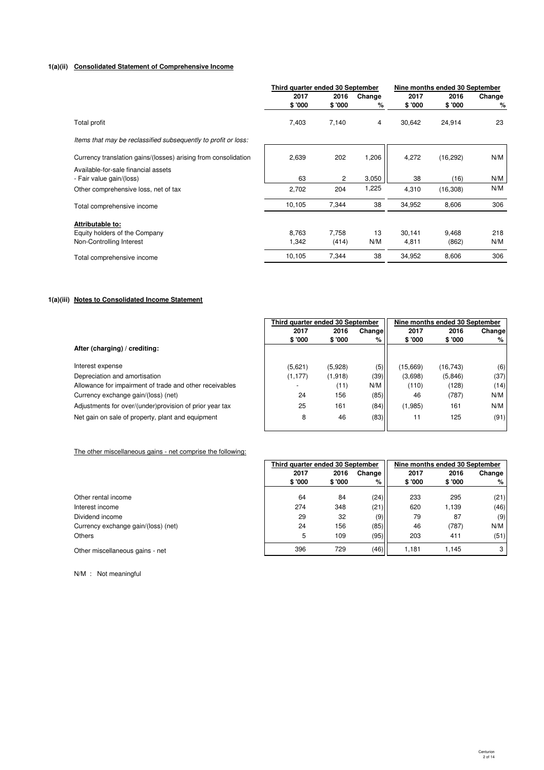# **1(a)(ii) Consolidated Statement of Comprehensive Income**

|                                                                 | Third quarter ended 30 September |                |             | Nine months ended 30 September |                |                |
|-----------------------------------------------------------------|----------------------------------|----------------|-------------|--------------------------------|----------------|----------------|
|                                                                 | 2017<br>\$'000                   | 2016<br>\$'000 | Change<br>% | 2017<br>\$'000                 | 2016<br>\$'000 | Change<br>$\%$ |
| Total profit                                                    | 7,403                            | 7,140          | 4           | 30,642                         | 24,914         | 23             |
| Items that may be reclassified subsequently to profit or loss:  |                                  |                |             |                                |                |                |
| Currency translation gains/(losses) arising from consolidation  | 2,639                            | 202            | 1,206       | 4,272                          | (16, 292)      | N/M            |
| Available-for-sale financial assets<br>- Fair value gain/(loss) | 63                               | 2              | 3,050       | 38                             | (16)           | N/M            |
| Other comprehensive loss, net of tax                            | 2,702                            | 204            | 1,225       | 4,310                          | (16, 308)      | N/M            |
| Total comprehensive income                                      | 10,105                           | 7,344          | 38          | 34,952                         | 8,606          | 306            |
| Attributable to:                                                |                                  |                |             |                                |                |                |
| Equity holders of the Company                                   | 8,763                            | 7,758          | 13          | 30,141                         | 9,468          | 218            |
| Non-Controlling Interest                                        | 1,342                            | (414)          | N/M         | 4,811                          | (862)          | N/M            |
| Total comprehensive income                                      | 10,105                           | 7,344          | 38          | 34,952                         | 8,606          | 306            |

# **1(a)(iii) Notes to Consolidated Income Statement**

|                                                         | Third auarter ended 30 September |         |        | Nine months ended 30 September |           |        |
|---------------------------------------------------------|----------------------------------|---------|--------|--------------------------------|-----------|--------|
|                                                         | 2017                             | 2016    | Change | 2017                           | 2016      | Change |
|                                                         | \$ '000                          | \$ '000 | %      | \$ '000                        | \$ '000   | %      |
| After (charging) / crediting:                           |                                  |         |        |                                |           |        |
| Interest expense                                        | (5,621)                          | (5,928) | (5)    | (15,669)                       | (16, 743) | (6)    |
| Depreciation and amortisation                           | (1, 177)                         | (1,918) | (39)   | (3,698)                        | (5,846)   | (37)   |
| Allowance for impairment of trade and other receivables |                                  | (11)    | N/M    | (110)                          | (128)     | (14)   |
| Currency exchange gain/(loss) (net)                     | 24                               | 156     | (85)   | 46                             | (787)     | N/M    |
| Adjustments for over/(under)provision of prior year tax | 25                               | 161     | (84)   | (1,985)                        | 161       | N/M    |
| Net gain on sale of property, plant and equipment       | 8                                | 46      | (83)   | 11                             | 125       | (91)   |
|                                                         |                                  |         |        |                                |           |        |

## The other miscellaneous gains - net comprise the following:

|                                     | Third quarter ended 30 September |         |        | Nine months ended 30 September |        |        |
|-------------------------------------|----------------------------------|---------|--------|--------------------------------|--------|--------|
|                                     | 2017                             | 2016    | Change | 2017                           | 2016   | Change |
|                                     | \$'000                           | \$ '000 | %      | \$ '000                        | \$'000 | %      |
| Other rental income                 | 64                               | 84      | (24)   | 233                            | 295    | (21)   |
| Interest income                     | 274                              | 348     | (21)   | 620                            | 1,139  | (46)   |
| Dividend income                     | 29                               | 32      | (9)    | 79                             | 87     | (9)    |
| Currency exchange gain/(loss) (net) | 24                               | 156     | (85)   | 46                             | (787)  | N/M    |
| <b>Others</b>                       | 5                                | 109     | (95)   | 203                            | 411    | (51)   |
| Other miscellaneous gains - net     | 396                              | 729     | (46)   | 1.181                          | 1.145  | 3      |

N/M : Not meaningful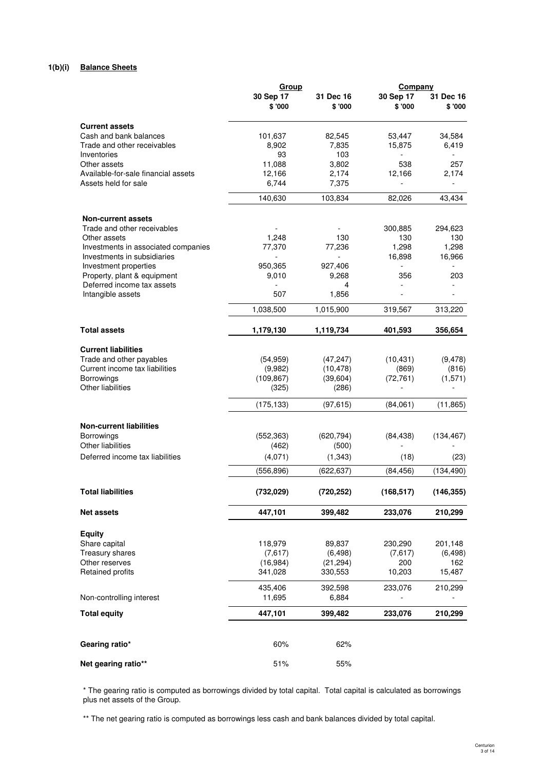# **1(b)(i) Balance Sheets**

|                                                 | <u>Group</u>         |                      | <b>Company</b>      |                      |  |
|-------------------------------------------------|----------------------|----------------------|---------------------|----------------------|--|
|                                                 | 30 Sep 17<br>\$ '000 | 31 Dec 16<br>\$ '000 | 30 Sep 17<br>\$'000 | 31 Dec 16<br>\$ '000 |  |
|                                                 |                      |                      |                     |                      |  |
| <b>Current assets</b><br>Cash and bank balances | 101,637              | 82,545               | 53,447              | 34,584               |  |
| Trade and other receivables                     | 8,902                | 7,835                | 15,875              | 6,419                |  |
| Inventories                                     | 93                   | 103                  |                     |                      |  |
| Other assets                                    | 11,088               | 3,802                | 538                 | 257                  |  |
| Available-for-sale financial assets             | 12,166               | 2,174                | 12,166              | 2,174                |  |
| Assets held for sale                            | 6.744                | 7,375                |                     | $\overline{a}$       |  |
|                                                 | 140,630              | 103,834              | 82,026              | 43,434               |  |
| <b>Non-current assets</b>                       |                      |                      |                     |                      |  |
| Trade and other receivables                     |                      |                      | 300,885             | 294,623              |  |
| Other assets                                    | 1,248                | 130                  | 130                 | 130                  |  |
| Investments in associated companies             | 77,370               | 77,236               | 1,298               | 1,298                |  |
| Investments in subsidiaries                     |                      |                      | 16,898              | 16,966               |  |
| Investment properties                           | 950,365              | 927,406              |                     |                      |  |
| Property, plant & equipment                     | 9,010                | 9.268                | 356                 | 203                  |  |
| Deferred income tax assets<br>Intangible assets | 507                  | 4<br>1,856           |                     |                      |  |
|                                                 | 1,038,500            | 1,015,900            | 319,567             | 313,220              |  |
|                                                 |                      |                      |                     |                      |  |
| <b>Total assets</b>                             | 1,179,130            | 1,119,734            | 401,593             | 356,654              |  |
| <b>Current liabilities</b>                      |                      |                      |                     |                      |  |
| Trade and other payables                        | (54, 959)            | (47, 247)            | (10, 431)           | (9, 478)             |  |
| Current income tax liabilities                  | (9,982)              | (10, 478)            | (869)               | (816)                |  |
| Borrowings                                      | (109, 867)           | (39,604)             | (72, 761)           | (1,571)              |  |
| Other liabilities                               | (325)                | (286)                |                     |                      |  |
|                                                 | (175, 133)           | (97, 615)            | (84,061)            | (11, 865)            |  |
| <b>Non-current liabilities</b>                  |                      |                      |                     |                      |  |
| Borrowings                                      | (552, 363)           | (620, 794)           | (84, 438)           | (134, 467)           |  |
| Other liabilities                               | (462)                | (500)                |                     |                      |  |
| Deferred income tax liabilities                 | (4,071)              | (1, 343)             | (18)                | (23)                 |  |
|                                                 | (556, 896)           | (622, 637)           | (84, 456)           | (134, 490)           |  |
| <b>Total liabilities</b>                        | (732, 029)           | (720, 252)           | (168, 517)          | (146, 355)           |  |
|                                                 |                      |                      |                     |                      |  |
| <b>Net assets</b>                               | 447,101              | 399,482              | 233,076             | 210,299              |  |
| <b>Equity</b>                                   |                      |                      |                     |                      |  |
| Share capital                                   | 118,979              | 89,837               | 230,290             | 201,148              |  |
| Treasury shares                                 | (7,617)              | (6, 498)             | (7,617)             | (6, 498)             |  |
| Other reserves                                  | (16,984)             | (21, 294)            | 200                 | 162                  |  |
| Retained profits                                | 341,028              | 330,553              | 10,203              | 15,487               |  |
|                                                 | 435,406              | 392,598              | 233,076             | 210,299              |  |
| Non-controlling interest                        | 11,695               | 6,884                |                     |                      |  |
| <b>Total equity</b>                             | 447,101              | 399,482              | 233,076             | 210,299              |  |
|                                                 |                      |                      |                     |                      |  |
| Gearing ratio*                                  | 60%                  | 62%                  |                     |                      |  |
| Net gearing ratio**                             | 51%                  | 55%                  |                     |                      |  |

# \* The gearing ratio is computed as borrowings divided by total capital. Total capital is calculated as borrowings plus net assets of the Group.

\*\* The net gearing ratio is computed as borrowings less cash and bank balances divided by total capital.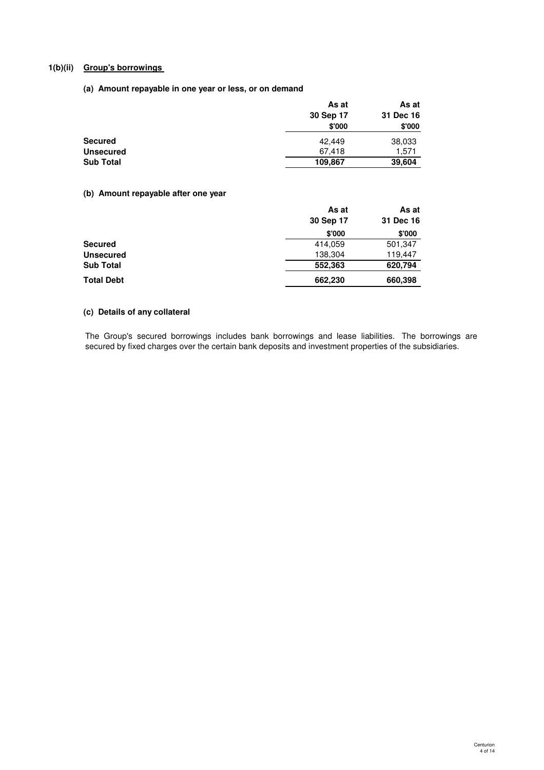# **1(b)(ii) Group's borrowings**

# **(a) Amount repayable in one year or less, or on demand**

| As at     | As at     |
|-----------|-----------|
| 30 Sep 17 | 31 Dec 16 |
| \$'000    | \$'000    |
| 42.449    | 38,033    |
| 67,418    | 1,571     |
| 109.867   | 39,604    |
|           |           |

# **(b) Amount repayable after one year**

|            | As at     | As at     |
|------------|-----------|-----------|
|            | 30 Sep 17 | 31 Dec 16 |
|            | \$'000    | \$'000    |
| Secured    | 414,059   | 501,347   |
| Unsecured  | 138,304   | 119,447   |
| Sub Total  | 552,363   | 620,794   |
| Total Debt | 662,230   | 660,398   |

# **(c) Details of any collateral**

The Group's secured borrowings includes bank borrowings and lease liabilities. The borrowings are secured by fixed charges over the certain bank deposits and investment properties of the subsidiaries.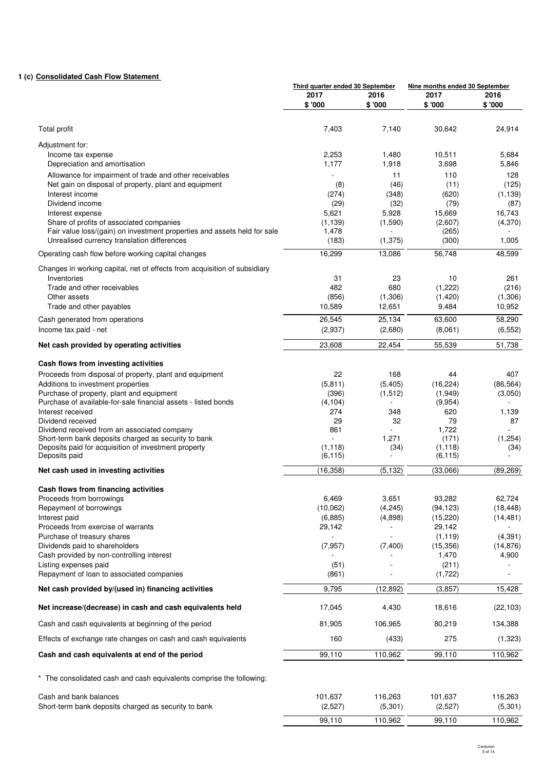# **1 (c) Consolidated Cash Flow Statement**

|                                                                                                      |                | Third quarter ended 30 September |                     | Nine months ended 30 September |
|------------------------------------------------------------------------------------------------------|----------------|----------------------------------|---------------------|--------------------------------|
|                                                                                                      | 2017<br>\$'000 | 2016<br>\$'000                   | 2017<br>\$'000      | 2016<br>\$ '000                |
|                                                                                                      |                |                                  |                     |                                |
| Total profit                                                                                         | 7,403          | 7,140                            | 30,642              | 24,914                         |
| Adjustment for:                                                                                      |                |                                  |                     |                                |
| Income tax expense                                                                                   | 2,253          | 1,480                            | 10,511              | 5,684                          |
| Depreciation and amortisation                                                                        | 1,177          | 1,918                            | 3,698               | 5,846                          |
| Allowance for impairment of trade and other receivables                                              |                | 11                               | 110                 | 128                            |
| Net gain on disposal of property, plant and equipment                                                | (8)            | (46)                             | (11)                | (125)                          |
| Interest income<br>Dividend income                                                                   | (274)          | (348)                            | (620)<br>(79)       | (1, 139)                       |
| Interest expense                                                                                     | (29)<br>5,621  | (32)<br>5,928                    | 15,669              | (87)<br>16,743                 |
| Share of profits of associated companies                                                             | (1, 139)       | (1,590)                          | (2,607)             | (4,370)                        |
| Fair value loss/(gain) on investment properties and assets held for sale                             | 1,478          |                                  | (265)               |                                |
| Unrealised currency translation differences                                                          | (183)          | (1, 375)                         | (300)               | 1,005                          |
| Operating cash flow before working capital changes                                                   | 16,299         | 13,086                           | 56,748              | 48,599                         |
| Changes in working capital, net of effects from acquisition of subsidiary                            |                |                                  |                     |                                |
| Inventories                                                                                          | 31<br>482      | 23<br>680                        | 10                  | 261                            |
| Trade and other receivables<br>Other assets                                                          | (856)          | (1,306)                          | (1,222)<br>(1, 420) | (216)<br>(1,306)               |
| Trade and other payables                                                                             | 10,589         | 12,651                           | 9,484               | 10,952                         |
| Cash generated from operations                                                                       | 26,545         | 25,134                           | 63,600              | 58,290                         |
| Income tax paid - net                                                                                | (2,937)        | (2,680)                          | (8,061)             | (6, 552)                       |
| Net cash provided by operating activities                                                            | 23,608         | 22,454                           | 55,539              | 51,738                         |
|                                                                                                      |                |                                  |                     |                                |
| Cash flows from investing activities                                                                 |                |                                  |                     |                                |
| Proceeds from disposal of property, plant and equipment<br>Additions to investment properties        | 22<br>(5, 811) | 168<br>(5,405)                   | 44<br>(16, 224)     | 407<br>(86, 564)               |
| Purchase of property, plant and equipment                                                            | (396)          | (1, 512)                         | (1,949)             | (3,050)                        |
| Purchase of available-for-sale financial assets - listed bonds                                       | (4, 104)       | $\blacksquare$                   | (9,954)             |                                |
| Interest received                                                                                    | 274            | 348                              | 620                 | 1,139                          |
| Dividend received                                                                                    | 29             | 32                               | 79                  | 87                             |
| Dividend received from an associated company<br>Short-term bank deposits charged as security to bank | 861<br>L.      | 1,271                            | 1,722<br>(171)      | (1,254)                        |
| Deposits paid for acquisition of investment property                                                 | (1, 118)       | (34)                             | (1, 118)            | (34)                           |
| Deposits paid                                                                                        | (6, 115)       |                                  | (6, 115)            |                                |
| Net cash used in investing activities                                                                | (16, 358)      | (5, 132)                         | (33,066)            | (89, 269)                      |
| Cash flows from financing activities                                                                 |                |                                  |                     |                                |
| Proceeds from borrowings                                                                             | 6,469          | 3,651                            | 93,282              | 62,724                         |
| Repayment of borrowings                                                                              | (10,062)       | (4, 245)                         | (94, 123)           | (18, 448)                      |
| Interest paid                                                                                        | (6,885)        | (4,898)                          | (15, 220)           | (14, 481)                      |
| Proceeds from exercise of warrants<br>Purchase of treasury shares                                    | 29,142         | ÷,                               | 29,142<br>(1, 119)  | (4, 391)                       |
| Dividends paid to shareholders                                                                       | (7, 957)       | (7,400)                          | (15, 356)           | (14, 876)                      |
| Cash provided by non-controlling interest                                                            |                |                                  | 1,470               | 4,900                          |
| Listing expenses paid                                                                                | (51)           |                                  | (211)               |                                |
| Repayment of loan to associated companies                                                            | (861)          |                                  | (1, 722)            |                                |
| Net cash provided by/(used in) financing activities                                                  | 9,795          | (12, 892)                        | (3, 857)            | 15,428                         |
| Net increase/(decrease) in cash and cash equivalents held                                            | 17,045         | 4,430                            | 18,616              | (22, 103)                      |
| Cash and cash equivalents at beginning of the period                                                 | 81,905         | 106,965                          | 80,219              | 134,388                        |
| Effects of exchange rate changes on cash and cash equivalents                                        | 160            | (433)                            | 275                 | (1,323)                        |
| Cash and cash equivalents at end of the period                                                       | 99,110         | 110,962                          | 99,110              | 110,962                        |
| * The consolidated cash and cash equivalents comprise the following:                                 |                |                                  |                     |                                |
|                                                                                                      |                |                                  |                     |                                |
| Cash and bank balances                                                                               | 101,637        | 116,263                          | 101,637             | 116,263                        |
| Short-term bank deposits charged as security to bank                                                 | (2,527)        | (5,301)                          | (2,527)             | (5,301)                        |
|                                                                                                      | 99,110         | 110,962                          | 99,110              | 110,962                        |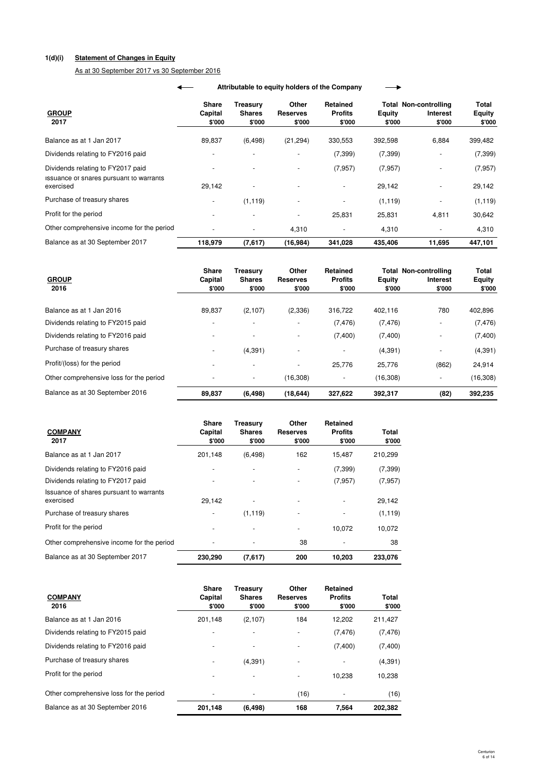# **1(d)(i) Statement of Changes in Equity**

As at 30 September 2017 vs 30 September 2016

|                                                                                           | Attributable to equity holders of the Company |                                   |                                     |                                    |                                      |                         |                                                    |                                  |  |
|-------------------------------------------------------------------------------------------|-----------------------------------------------|-----------------------------------|-------------------------------------|------------------------------------|--------------------------------------|-------------------------|----------------------------------------------------|----------------------------------|--|
| <b>GROUP</b><br>2017                                                                      |                                               | <b>Share</b><br>Capital<br>\$'000 | Treasurv<br><b>Shares</b><br>\$'000 | Other<br><b>Reserves</b><br>\$'000 | Retained<br><b>Profits</b><br>\$'000 | <b>Equity</b><br>\$'000 | Total Non-controlling<br><b>Interest</b><br>\$'000 | Total<br><b>Equity</b><br>\$'000 |  |
| Balance as at 1 Jan 2017                                                                  |                                               | 89,837                            | (6, 498)                            | (21, 294)                          | 330,553                              | 392,598                 | 6,884                                              | 399,482                          |  |
| Dividends relating to FY2016 paid                                                         |                                               |                                   |                                     |                                    | (7, 399)                             | (7, 399)                |                                                    | (7, 399)                         |  |
| Dividends relating to FY2017 paid<br>Issuance of shares pursuant to warrants<br>exercised |                                               | 29,142                            | ٠                                   |                                    | (7, 957)<br>$\overline{\phantom{a}}$ | (7, 957)<br>29,142      |                                                    | (7, 957)<br>29,142               |  |
| Purchase of treasury shares                                                               |                                               |                                   | (1, 119)                            |                                    |                                      | (1, 119)                | ٠                                                  | (1, 119)                         |  |
| Profit for the period                                                                     |                                               |                                   | $\overline{\phantom{a}}$            |                                    | 25,831                               | 25,831                  | 4,811                                              | 30,642                           |  |
| Other comprehensive income for the period                                                 |                                               |                                   |                                     | 4,310                              |                                      | 4,310                   |                                                    | 4,310                            |  |
| Balance as at 30 September 2017                                                           |                                               | 118,979                           | (7,617)                             | (16,984)                           | 341,028                              | 435,406                 | 11,695                                             | 447,101                          |  |

| <b>GROUP</b><br>2016                    | <b>Share</b><br>Capital<br>\$'000 | Treasurv<br><b>Shares</b><br>\$'000 | Other<br>Reserves<br>\$'000 | Retained<br><b>Profits</b><br>\$'000 | Equity<br>\$'000 | <b>Total Non-controlling</b><br><b>Interest</b><br>\$'000 | <b>Total</b><br><b>Equity</b><br>\$'000 |
|-----------------------------------------|-----------------------------------|-------------------------------------|-----------------------------|--------------------------------------|------------------|-----------------------------------------------------------|-----------------------------------------|
| Balance as at 1 Jan 2016                | 89.837                            | (2,107)                             | (2,336)                     | 316,722                              | 402,116          | 780                                                       | 402,896                                 |
| Dividends relating to FY2015 paid       |                                   | $\overline{\phantom{a}}$            |                             | (7, 476)                             | (7, 476)         |                                                           | (7, 476)                                |
| Dividends relating to FY2016 paid       |                                   | $\overline{\phantom{a}}$            | $\overline{\phantom{a}}$    | (7,400)                              | (7,400)          |                                                           | (7,400)                                 |
| Purchase of treasury shares             | -                                 | (4, 391)                            | $\overline{\phantom{a}}$    | $\overline{\phantom{a}}$             | (4,391)          | $\overline{\phantom{a}}$                                  | (4, 391)                                |
| Profit/(loss) for the period            |                                   | $\overline{\phantom{a}}$            | $\overline{\phantom{a}}$    | 25,776                               | 25,776           | (862)                                                     | 24,914                                  |
| Other comprehensive loss for the period |                                   | $\overline{\phantom{a}}$            | (16, 308)                   | $\overline{\phantom{a}}$             | (16, 308)        |                                                           | (16, 308)                               |
| Balance as at 30 September 2016         | 89.837                            | (6, 498)                            | (18, 644)                   | 327,622                              | 392,317          | (82)                                                      | 392,235                                 |

| <b>COMPANY</b><br>2017                               | Share<br>Capital<br>\$'000 | Treasury<br><b>Shares</b><br>\$'000 | Other<br><b>Reserves</b><br>\$'000 | Retained<br><b>Profits</b><br>\$'000 | Total<br>\$'000 |
|------------------------------------------------------|----------------------------|-------------------------------------|------------------------------------|--------------------------------------|-----------------|
| Balance as at 1 Jan 2017                             | 201,148                    | (6, 498)                            | 162                                | 15.487                               | 210,299         |
| Dividends relating to FY2016 paid                    |                            |                                     |                                    | (7, 399)                             | (7, 399)        |
| Dividends relating to FY2017 paid                    |                            |                                     |                                    | (7, 957)                             | (7, 957)        |
| Issuance of shares pursuant to warrants<br>exercised | 29.142                     |                                     |                                    |                                      | 29,142          |
| Purchase of treasury shares                          |                            | (1, 119)                            |                                    |                                      | (1, 119)        |
| Profit for the period                                |                            |                                     |                                    | 10.072                               | 10.072          |
| Other comprehensive income for the period            |                            |                                     | 38                                 |                                      | 38              |
| Balance as at 30 September 2017                      | 230,290                    | (7,617)                             | 200                                | 10,203                               | 233,076         |

| <b>COMPANY</b><br>2016                  | <b>Share</b><br>Capital<br>\$'000 | <b>Treasury</b><br><b>Shares</b><br>\$'000 | Other<br><b>Reserves</b><br>\$'000 | <b>Retained</b><br><b>Profits</b><br>\$'000 | Total<br>\$'000 |
|-----------------------------------------|-----------------------------------|--------------------------------------------|------------------------------------|---------------------------------------------|-----------------|
| Balance as at 1 Jan 2016                | 201.148                           | (2,107)                                    | 184                                | 12,202                                      | 211,427         |
| Dividends relating to FY2015 paid       | ٠                                 | -                                          |                                    | (7, 476)                                    | (7, 476)        |
| Dividends relating to FY2016 paid       | ٠                                 |                                            |                                    | (7,400)                                     | (7,400)         |
| Purchase of treasury shares             |                                   | (4, 391)                                   |                                    |                                             | (4, 391)        |
| Profit for the period                   |                                   |                                            |                                    | 10.238                                      | 10,238          |
| Other comprehensive loss for the period |                                   |                                            | (16)                               |                                             | (16)            |
| Balance as at 30 September 2016         | 201,148                           | (6, 498)                                   | 168                                | 7.564                                       | 202.382         |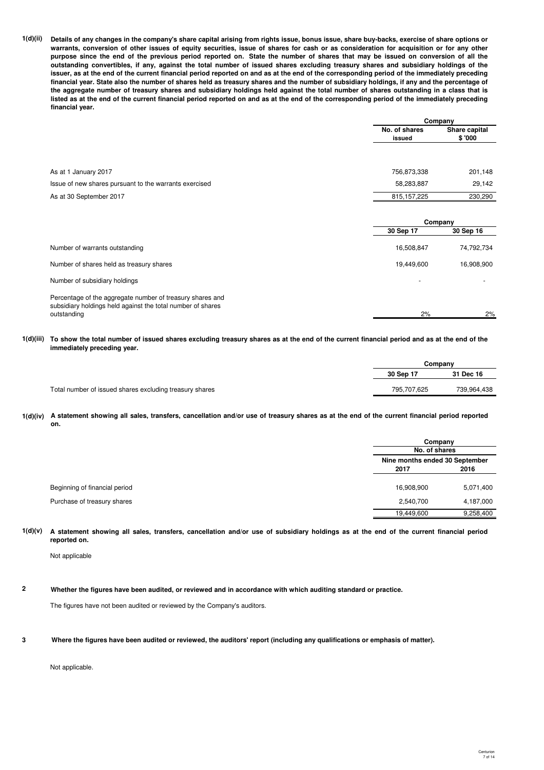**1(d)(ii) Details of any changes in the company's share capital arising from rights issue, bonus issue, share buy-backs, exercise of share options or warrants, conversion of other issues of equity securities, issue of shares for cash or as consideration for acquisition or for any other purpose since the end of the previous period reported on. State the number of shares that may be issued on conversion of all the outstanding convertibles, if any, against the total number of issued shares excluding treasury shares and subsidiary holdings of the issuer, as at the end of the current financial period reported on and as at the end of the corresponding period of the immediately preceding financial year. State also the number of shares held as treasury shares and the number of subsidiary holdings, if any and the percentage of the aggregate number of treasury shares and subsidiary holdings held against the total number of shares outstanding in a class that is listed as at the end of the current financial period reported on and as at the end of the corresponding period of the immediately preceding financial year.**

|                                                        |                         | Company                 |  |
|--------------------------------------------------------|-------------------------|-------------------------|--|
|                                                        | No. of shares<br>issued | Share capital<br>\$'000 |  |
|                                                        |                         |                         |  |
| As at 1 January 2017                                   | 756,873,338             | 201,148                 |  |
| Issue of new shares pursuant to the warrants exercised | 58,283,887              | 29,142                  |  |
| As at 30 September 2017                                | 815, 157, 225           | 230,290                 |  |
|                                                        |                         | Company                 |  |
|                                                        | 30 Sep 17               | 30 Sep 16               |  |
| Number of warrants outstanding                         | 16,508,847              | 74,792,734              |  |
| Number of shares held as treasury shares               | 19,449,600              | 16,908,900              |  |
| Number of subsidiary holdings                          |                         |                         |  |

Percentage of the aggregate number of treasury shares and subsidiary holdings held against the total number of shares outstanding outstanding 2% 2%

**1(d)(iii) To show the total number of issued shares excluding treasury shares as at the end of the current financial period and as at the end of the immediately preceding year.**

|                                                         |             | Company     |  |  |
|---------------------------------------------------------|-------------|-------------|--|--|
|                                                         | 30 Sep 17   | 31 Dec 16   |  |  |
| Total number of issued shares excluding treasury shares | 795.707.625 | 739,964,438 |  |  |

**1(d)(iv) A statement showing all sales, transfers, cancellation and/or use of treasury shares as at the end of the current financial period reported on.**

|                               |            | Company<br>No. of shares       |  |  |
|-------------------------------|------------|--------------------------------|--|--|
|                               |            |                                |  |  |
|                               |            | Nine months ended 30 September |  |  |
|                               | 2017       | 2016                           |  |  |
| Beginning of financial period | 16,908,900 | 5,071,400                      |  |  |
| Purchase of treasury shares   | 2,540,700  | 4,187,000                      |  |  |
|                               | 19,449,600 | 9,258,400                      |  |  |

**1(d)(v) A statement showing all sales, transfers, cancellation and/or use of subsidiary holdings as at the end of the current financial period reported on.**

Not applicable

**2 Whether the figures have been audited, or reviewed and in accordance with which auditing standard or practice.**

The figures have not been audited or reviewed by the Company's auditors.

**3 Where the figures have been audited or reviewed, the auditors' report (including any qualifications or emphasis of matter).**

Not applicable.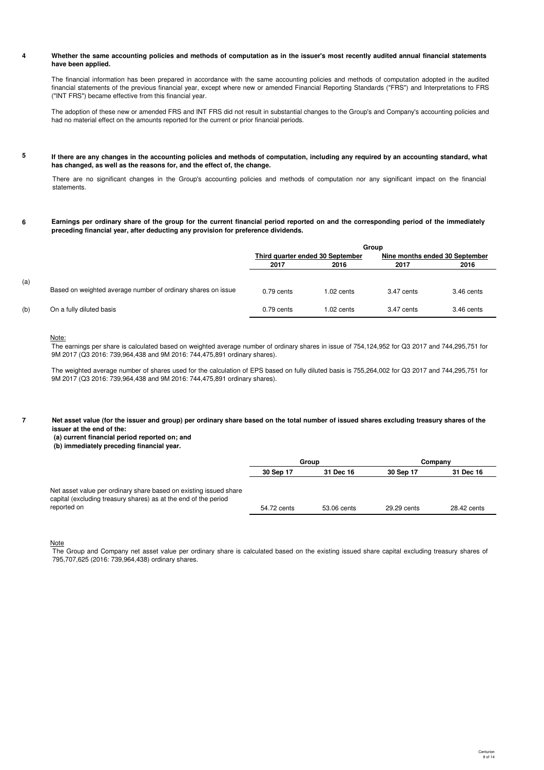#### **4 Whether the same accounting policies and methods of computation as in the issuer's most recently audited annual financial statements have been applied.**

The financial information has been prepared in accordance with the same accounting policies and methods of computation adopted in the audited financial statements of the previous financial year, except where new or amended Financial Reporting Standards ("FRS") and Interpretations to FRS ("INT FRS") became effective from this financial year.

The adoption of these new or amended FRS and INT FRS did not result in substantial changes to the Group's and Company's accounting policies and had no material effect on the amounts reported for the current or prior financial periods.

#### **5 If there are any changes in the accounting policies and methods of computation, including any required by an accounting standard, what has changed, as well as the reasons for, and the effect of, the change.**

There are no significant changes in the Group's accounting policies and methods of computation nor any significant impact on the financial statements.

**6 Earnings per ordinary share of the group for the current financial period reported on and the corresponding period of the immediately preceding financial year, after deducting any provision for preference dividends.**

|     |                                                              | Group                            |              |                                |            |
|-----|--------------------------------------------------------------|----------------------------------|--------------|--------------------------------|------------|
|     |                                                              | Third quarter ended 30 September |              | Nine months ended 30 September |            |
|     |                                                              | 2017                             | 2016         | 2017                           | 2016       |
| (a) | Based on weighted average number of ordinary shares on issue | $0.79$ cents                     | $1.02$ cents | 3.47 cents                     | 3.46 cents |
| (b) | On a fully diluted basis                                     | $0.79$ cents                     | 1.02 cents   | 3.47 cents                     | 3.46 cents |

## Note:

The earnings per share is calculated based on weighted average number of ordinary shares in issue of 754,124,952 for Q3 2017 and 744,295,751 for 9M 2017 (Q3 2016: 739,964,438 and 9M 2016: 744,475,891 ordinary shares).

The weighted average number of shares used for the calculation of EPS based on fully diluted basis is 755,264,002 for Q3 2017 and 744,295,751 for 9M 2017 (Q3 2016: 739,964,438 and 9M 2016: 744,475,891 ordinary shares).

**7**

**Net asset value (for the issuer and group) per ordinary share based on the total number of issued shares excluding treasury shares of the issuer at the end of the:**

 **(a) current financial period reported on; and**

 **(b) immediately preceding financial year.**

|                                                                                                                                                     | Group       |             | Company     |             |
|-----------------------------------------------------------------------------------------------------------------------------------------------------|-------------|-------------|-------------|-------------|
|                                                                                                                                                     | 30 Sep 17   | 31 Dec 16   | 30 Sep 17   | 31 Dec 16   |
| Net asset value per ordinary share based on existing issued share<br>capital (excluding treasury shares) as at the end of the period<br>reported on | 54.72 cents | 53.06 cents | 29.29 cents | 28.42 cents |

**Note** 

The Group and Company net asset value per ordinary share is calculated based on the existing issued share capital excluding treasury shares of 795,707,625 (2016: 739,964,438) ordinary shares.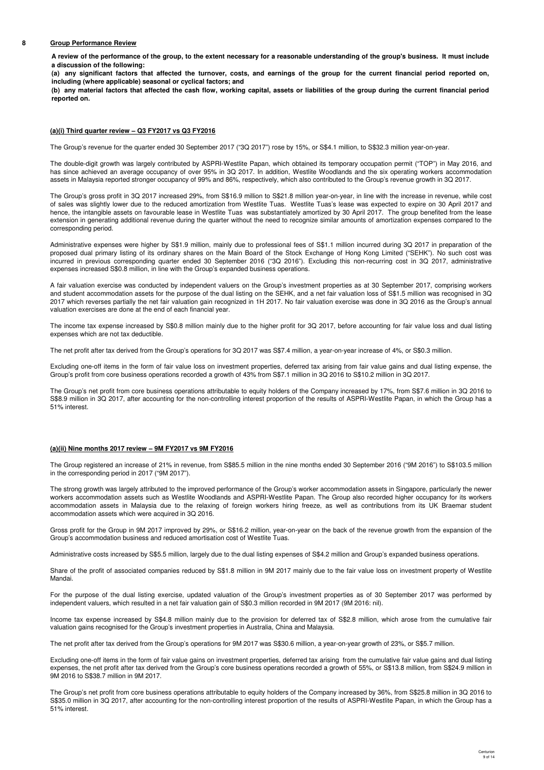### **8 Group Performance Review**

**A review of the performance of the group, to the extent necessary for a reasonable understanding of the group's business. It must include a discussion of the following:**

**(a) any significant factors that affected the turnover, costs, and earnings of the group for the current financial period reported on, including (where applicable) seasonal or cyclical factors; and**

**(b) any material factors that affected the cash flow, working capital, assets or liabilities of the group during the current financial period reported on.**

## **(a)(i) Third quarter review – Q3 FY2017 vs Q3 FY2016**

The Group's revenue for the quarter ended 30 September 2017 ("3Q 2017") rose by 15%, or S\$4.1 million, to S\$32.3 million year-on-year.

The double-digit growth was largely contributed by ASPRI-Westlite Papan, which obtained its temporary occupation permit ("TOP") in May 2016, and has since achieved an average occupancy of over 95% in 3Q 2017. In addition, Westlite Woodlands and the six operating workers accommodation assets in Malaysia reported stronger occupancy of 99% and 86%, respectively, which also contributed to the Group's revenue growth in 3Q 2017.

The Group's gross profit in 3Q 2017 increased 29%, from S\$16.9 million to S\$21.8 million year-on-year, in line with the increase in revenue, while cost of sales was slightly lower due to the reduced amortization from Westlite Tuas. Westlite Tuas's lease was expected to expire on 30 April 2017 and hence, the intangible assets on favourable lease in Westlite Tuas was substantiately amortized by 30 April 2017. The group benefited from the lease extension in generating additional revenue during the quarter without the need to recognize similar amounts of amortization expenses compared to the corresponding period.

Administrative expenses were higher by S\$1.9 million, mainly due to professional fees of S\$1.1 million incurred during 3Q 2017 in preparation of the proposed dual primary listing of its ordinary shares on the Main Board of the Stock Exchange of Hong Kong Limited ("SEHK"). No such cost was incurred in previous corresponding quarter ended 30 September 2016 ("3Q 2016"). Excluding this non-recurring cost in 3Q 2017, administrative expenses increased S\$0.8 million, in line with the Group's expanded business operations.

A fair valuation exercise was conducted by independent valuers on the Group's investment properties as at 30 September 2017, comprising workers and student accommodation assets for the purpose of the dual listing on the SEHK, and a net fair valuation loss of S\$1.5 million was recognised in 3Q 2017 which reverses partially the net fair valuation gain recognized in 1H 2017. No fair valuation exercise was done in 3Q 2016 as the Group's annual valuation exercises are done at the end of each financial year.

The income tax expense increased by S\$0.8 million mainly due to the higher profit for 3Q 2017, before accounting for fair value loss and dual listing expenses which are not tax deductible.

The net profit after tax derived from the Group's operations for 3Q 2017 was S\$7.4 million, a year-on-year increase of 4%, or S\$0.3 million.

Excluding one-off items in the form of fair value loss on investment properties, deferred tax arising from fair value gains and dual listing expense, the Group's profit from core business operations recorded a growth of 43% from S\$7.1 million in 3Q 2016 to S\$10.2 million in 3Q 2017.

The Group's net profit from core business operations attributable to equity holders of the Company increased by 17%, from S\$7.6 million in 3Q 2016 to S\$8.9 million in 3Q 2017, after accounting for the non-controlling interest proportion of the results of ASPRI-Westlite Papan, in which the Group has a 51% interest.

## **(a)(ii) Nine months 2017 review – 9M FY2017 vs 9M FY2016**

The Group registered an increase of 21% in revenue, from S\$85.5 million in the nine months ended 30 September 2016 ("9M 2016") to S\$103.5 million in the corresponding period in 2017 ("9M 2017").

The strong growth was largely attributed to the improved performance of the Group's worker accommodation assets in Singapore, particularly the newer workers accommodation assets such as Westlite Woodlands and ASPRI-Westlite Papan. The Group also recorded higher occupancy for its workers accommodation assets in Malaysia due to the relaxing of foreign workers hiring freeze, as well as contributions from its UK Braemar student accommodation assets which were acquired in 3Q 2016.

Gross profit for the Group in 9M 2017 improved by 29%, or S\$16.2 million, year-on-year on the back of the revenue growth from the expansion of the Group's accommodation business and reduced amortisation cost of Westlite Tuas.

Administrative costs increased by S\$5.5 million, largely due to the dual listing expenses of S\$4.2 million and Group's expanded business operations.

Share of the profit of associated companies reduced by S\$1.8 million in 9M 2017 mainly due to the fair value loss on investment property of Westlite Mandai.

For the purpose of the dual listing exercise, updated valuation of the Group's investment properties as of 30 September 2017 was performed by independent valuers, which resulted in a net fair valuation gain of S\$0.3 million recorded in 9M 2017 (9M 2016: nil).

Income tax expense increased by S\$4.8 million mainly due to the provision for deferred tax of S\$2.8 million, which arose from the cumulative fair valuation gains recognised for the Group's investment properties in Australia, China and Malaysia.

The net profit after tax derived from the Group's operations for 9M 2017 was S\$30.6 million, a year-on-year growth of 23%, or S\$5.7 million.

Excluding one-off items in the form of fair value gains on investment properties, deferred tax arising from the cumulative fair value gains and dual listing expenses, the net profit after tax derived from the Group's core business operations recorded a growth of 55%, or S\$13.8 million, from S\$24.9 million in 9M 2016 to S\$38.7 million in 9M 2017.

The Group's net profit from core business operations attributable to equity holders of the Company increased by 36%, from S\$25.8 million in 3Q 2016 to S\$35.0 million in 3Q 2017, after accounting for the non-controlling interest proportion of the results of ASPRI-Westlite Papan, in which the Group has a 51% interest.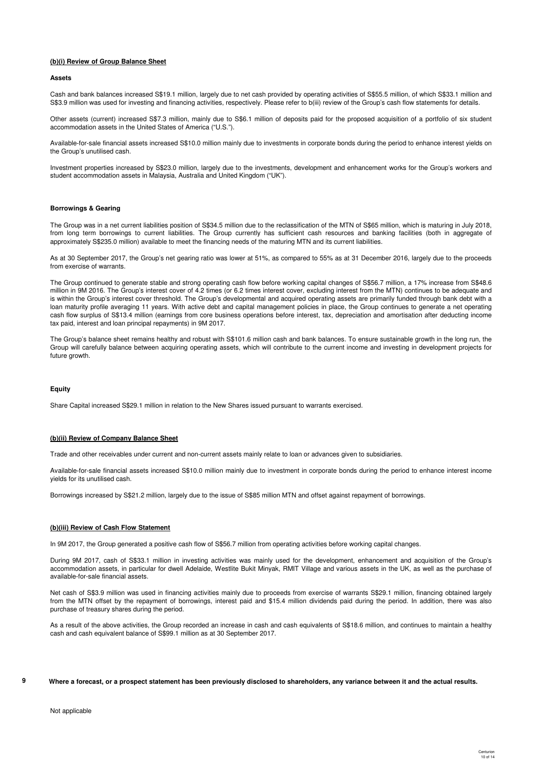## **(b)(i) Review of Group Balance Sheet**

### **Assets**

Cash and bank balances increased S\$19.1 million, largely due to net cash provided by operating activities of S\$55.5 million, of which S\$33.1 million and S\$3.9 million was used for investing and financing activities, respectively. Please refer to b(iii) review of the Group's cash flow statements for details.

Other assets (current) increased S\$7.3 million, mainly due to S\$6.1 million of deposits paid for the proposed acquisition of a portfolio of six student accommodation assets in the United States of America ("U.S.").

Available-for-sale financial assets increased S\$10.0 million mainly due to investments in corporate bonds during the period to enhance interest yields on the Group's unutilised cash.

Investment properties increased by S\$23.0 million, largely due to the investments, development and enhancement works for the Group's workers and student accommodation assets in Malaysia, Australia and United Kingdom ("UK").

### **Borrowings & Gearing**

The Group was in a net current liabilities position of S\$34.5 million due to the reclassification of the MTN of S\$65 million, which is maturing in July 2018, from long term borrowings to current liabilities. The Group currently has sufficient cash resources and banking facilities (both in aggregate of approximately S\$235.0 million) available to meet the financing needs of the maturing MTN and its current liabilities.

As at 30 September 2017, the Group's net gearing ratio was lower at 51%, as compared to 55% as at 31 December 2016, largely due to the proceeds from exercise of warrants.

The Group continued to generate stable and strong operating cash flow before working capital changes of S\$56.7 million, a 17% increase from S\$48.6 million in 9M 2016. The Group's interest cover of 4.2 times (or 6.2 times interest cover, excluding interest from the MTN) continues to be adequate and is within the Group's interest cover threshold. The Group's developmental and acquired operating assets are primarily funded through bank debt with a loan maturity profile averaging 11 years. With active debt and capital management policies in place, the Group continues to generate a net operating cash flow surplus of S\$13.4 million (earnings from core business operations before interest, tax, depreciation and amortisation after deducting income tax paid, interest and loan principal repayments) in 9M 2017.

The Group's balance sheet remains healthy and robust with S\$101.6 million cash and bank balances. To ensure sustainable growth in the long run, the Group will carefully balance between acquiring operating assets, which will contribute to the current income and investing in development projects for future growth.

### **Equity**

Share Capital increased S\$29.1 million in relation to the New Shares issued pursuant to warrants exercised.

### **(b)(ii) Review of Company Balance Sheet**

Trade and other receivables under current and non-current assets mainly relate to loan or advances given to subsidiaries.

Available-for-sale financial assets increased S\$10.0 million mainly due to investment in corporate bonds during the period to enhance interest income yields for its unutilised cash.

Borrowings increased by S\$21.2 million, largely due to the issue of S\$85 million MTN and offset against repayment of borrowings.

### **(b)(iii) Review of Cash Flow Statement**

In 9M 2017, the Group generated a positive cash flow of S\$56.7 million from operating activities before working capital changes.

During 9M 2017, cash of S\$33.1 million in investing activities was mainly used for the development, enhancement and acquisition of the Group's accommodation assets, in particular for dwell Adelaide, Westlite Bukit Minyak, RMIT Village and various assets in the UK, as well as the purchase of available-for-sale financial assets.

Net cash of S\$3.9 million was used in financing activities mainly due to proceeds from exercise of warrants S\$29.1 million, financing obtained largely from the MTN offset by the repayment of borrowings, interest paid and \$15.4 million dividends paid during the period. In addition, there was also purchase of treasury shares during the period.

As a result of the above activities, the Group recorded an increase in cash and cash equivalents of S\$18.6 million, and continues to maintain a healthy cash and cash equivalent balance of S\$99.1 million as at 30 September 2017.

## **Where a forecast, or a prospect statement has been previously disclosed to shareholders, any variance between it and the actual results.**

**9**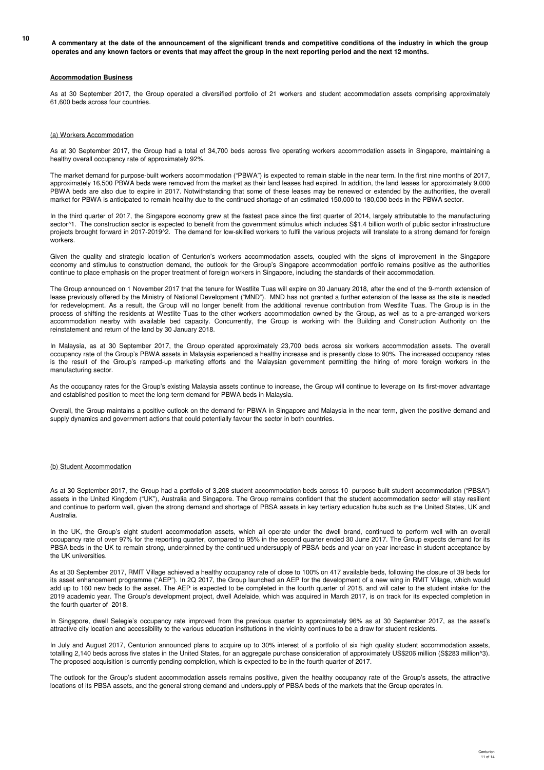**<sup>10</sup> A commentary at the date of the announcement of the significant trends and competitive conditions of the industry in which the group operates and any known factors or events that may affect the group in the next reporting period and the next 12 months.**

### **Accommodation Business**

As at 30 September 2017, the Group operated a diversified portfolio of 21 workers and student accommodation assets comprising approximately 61,600 beds across four countries.

## (a) Workers Accommodation

As at 30 September 2017, the Group had a total of 34,700 beds across five operating workers accommodation assets in Singapore, maintaining a healthy overall occupancy rate of approximately 92%.

The market demand for purpose-built workers accommodation ("PBWA") is expected to remain stable in the near term. In the first nine months of 2017, approximately 16,500 PBWA beds were removed from the market as their land leases had expired. In addition, the land leases for approximately 9,000 PBWA beds are also due to expire in 2017. Notwithstanding that some of these leases may be renewed or extended by the authorities, the overall market for PBWA is anticipated to remain healthy due to the continued shortage of an estimated 150,000 to 180,000 beds in the PBWA sector.

In the third quarter of 2017, the Singapore economy grew at the fastest pace since the first quarter of 2014, largely attributable to the manufacturing sector^1. The construction sector is expected to benefit from the government stimulus which includes S\$1.4 billion worth of public sector infrastructure projects brought forward in 2017-2019^2. The demand for low-skilled workers to fulfil the various projects will translate to a strong demand for foreign workers.

Given the quality and strategic location of Centurion's workers accommodation assets, coupled with the signs of improvement in the Singapore economy and stimulus to construction demand, the outlook for the Group's Singapore accommodation portfolio remains positive as the authorities continue to place emphasis on the proper treatment of foreign workers in Singapore, including the standards of their accommodation.

The Group announced on 1 November 2017 that the tenure for Westlite Tuas will expire on 30 January 2018, after the end of the 9-month extension of lease previously offered by the Ministry of National Development ("MND"). MND has not granted a further extension of the lease as the site is needed for redevelopment. As a result, the Group will no longer benefit from the additional revenue contribution from Westlite Tuas. The Group is in the process of shifting the residents at Westlite Tuas to the other workers accommodation owned by the Group, as well as to a pre-arranged workers accommodation nearby with available bed capacity. Concurrently, the Group is working with the Building and Construction Authority on the reinstatement and return of the land by 30 January 2018.

In Malaysia, as at 30 September 2017, the Group operated approximately 23,700 beds across six workers accommodation assets. The overall occupancy rate of the Group's PBWA assets in Malaysia experienced a healthy increase and is presently close to 90%. The increased occupancy rates is the result of the Group's ramped-up marketing efforts and the Malaysian government permitting the hiring of more foreign workers in the manufacturing sector.

As the occupancy rates for the Group's existing Malaysia assets continue to increase, the Group will continue to leverage on its first-mover advantage and established position to meet the long-term demand for PBWA beds in Malaysia.

Overall, the Group maintains a positive outlook on the demand for PBWA in Singapore and Malaysia in the near term, given the positive demand and supply dynamics and government actions that could potentially favour the sector in both countries.

## (b) Student Accommodation

As at 30 September 2017, the Group had a portfolio of 3,208 student accommodation beds across 10 purpose-built student accommodation ("PBSA") assets in the United Kingdom ("UK"), Australia and Singapore. The Group remains confident that the student accommodation sector will stay resilient and continue to perform well, given the strong demand and shortage of PBSA assets in key tertiary education hubs such as the United States, UK and Australia.

In the UK, the Group's eight student accommodation assets, which all operate under the dwell brand, continued to perform well with an overall occupancy rate of over 97% for the reporting quarter, compared to 95% in the second quarter ended 30 June 2017. The Group expects demand for its PBSA beds in the UK to remain strong, underpinned by the continued undersupply of PBSA beds and year-on-year increase in student acceptance by the UK universities.

As at 30 September 2017, RMIT Village achieved a healthy occupancy rate of close to 100% on 417 available beds, following the closure of 39 beds for its asset enhancement programme ("AEP"). In 2Q 2017, the Group launched an AEP for the development of a new wing in RMIT Village, which would add up to 160 new beds to the asset. The AEP is expected to be completed in the fourth quarter of 2018, and will cater to the student intake for the 2019 academic year. The Group's development project, dwell Adelaide, which was acquired in March 2017, is on track for its expected completion in the fourth quarter of 2018.

In Singapore, dwell Selegie's occupancy rate improved from the previous quarter to approximately 96% as at 30 September 2017, as the asset's attractive city location and accessibility to the various education institutions in the vicinity continues to be a draw for student residents.

In July and August 2017, Centurion announced plans to acquire up to 30% interest of a portfolio of six high quality student accommodation assets, totalling 2,140 beds across five states in the United States, for an aggregate purchase consideration of approximately US\$206 million (S\$283 million^3). The proposed acquisition is currently pending completion, which is expected to be in the fourth quarter of 2017.

The outlook for the Group's student accommodation assets remains positive, given the healthy occupancy rate of the Group's assets, the attractive locations of its PBSA assets, and the general strong demand and undersupply of PBSA beds of the markets that the Group operates in.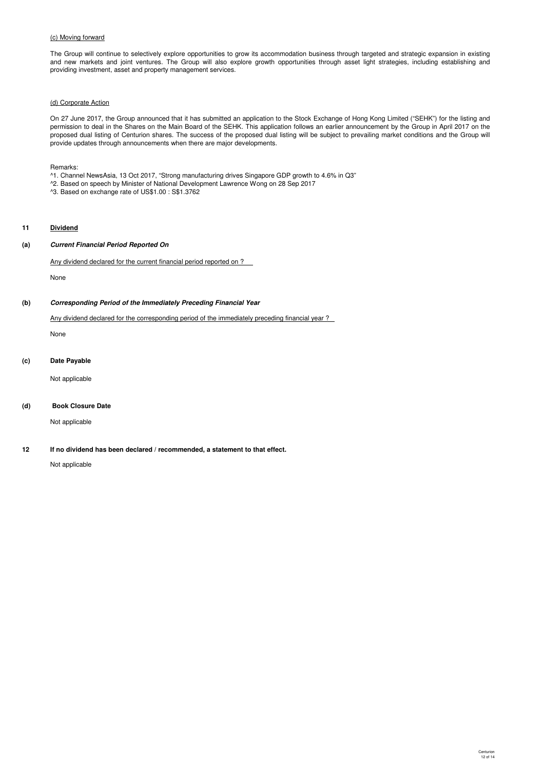## (c) Moving forward

The Group will continue to selectively explore opportunities to grow its accommodation business through targeted and strategic expansion in existing and new markets and joint ventures. The Group will also explore growth opportunities through asset light strategies, including establishing and providing investment, asset and property management services.

## (d) Corporate Action

On 27 June 2017, the Group announced that it has submitted an application to the Stock Exchange of Hong Kong Limited ("SEHK") for the listing and permission to deal in the Shares on the Main Board of the SEHK. This application follows an earlier announcement by the Group in April 2017 on the proposed dual listing of Centurion shares. The success of the proposed dual listing will be subject to prevailing market conditions and the Group will provide updates through announcements when there are major developments.

Remarks:

- ^1. Channel NewsAsia, 13 Oct 2017, "Strong manufacturing drives Singapore GDP growth to 4.6% in Q3"
- ^2. Based on speech by Minister of National Development Lawrence Wong on 28 Sep 2017
- ^3. Based on exchange rate of US\$1.00 : S\$1.3762

## **11 Dividend**

## **(a) Current Financial Period Reported On**

Any dividend declared for the current financial period reported on ?

None

## **(b) Corresponding Period of the Immediately Preceding Financial Year**

## Any dividend declared for the corresponding period of the immediately preceding financial year ?

None

### **(c) Date Payable**

Not applicable

# **(d) Book Closure Date**

Not applicable

**12 If no dividend has been declared / recommended, a statement to that effect.**

Not applicable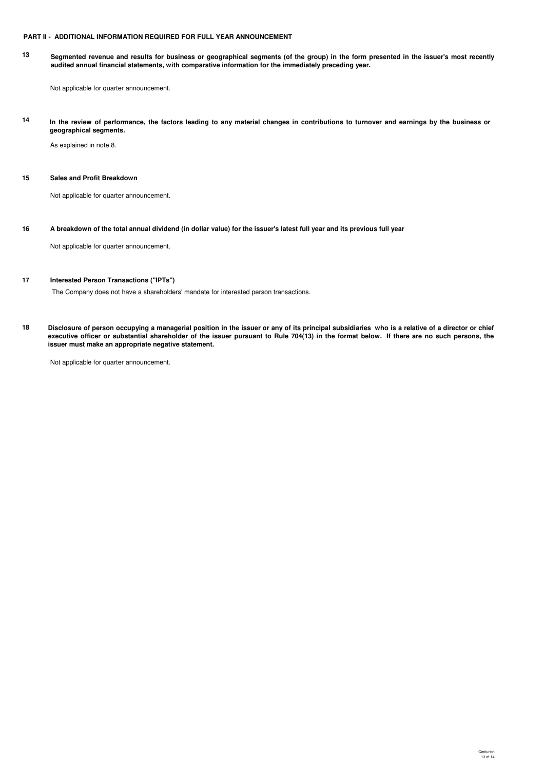## **PART II - ADDITIONAL INFORMATION REQUIRED FOR FULL YEAR ANNOUNCEMENT**

**13 Segmented revenue and results for business or geographical segments (of the group) in the form presented in the issuer's most recently audited annual financial statements, with comparative information for the immediately preceding year.**

Not applicable for quarter announcement.

**14 In the review of performance, the factors leading to any material changes in contributions to turnover and earnings by the business or geographical segments.**

As explained in note 8.

## **15 Sales and Profit Breakdown**

Not applicable for quarter announcement.

**16 A breakdown of the total annual dividend (in dollar value) for the issuer's latest full year and its previous full year**

Not applicable for quarter announcement.

## **17 Interested Person Transactions ("IPTs")**

The Company does not have a shareholders' mandate for interested person transactions.

**18 Disclosure of person occupying a managerial position in the issuer or any of its principal subsidiaries who is a relative of a director or chief executive officer or substantial shareholder of the issuer pursuant to Rule 704(13) in the format below. If there are no such persons, the issuer must make an appropriate negative statement.**

Not applicable for quarter announcement.